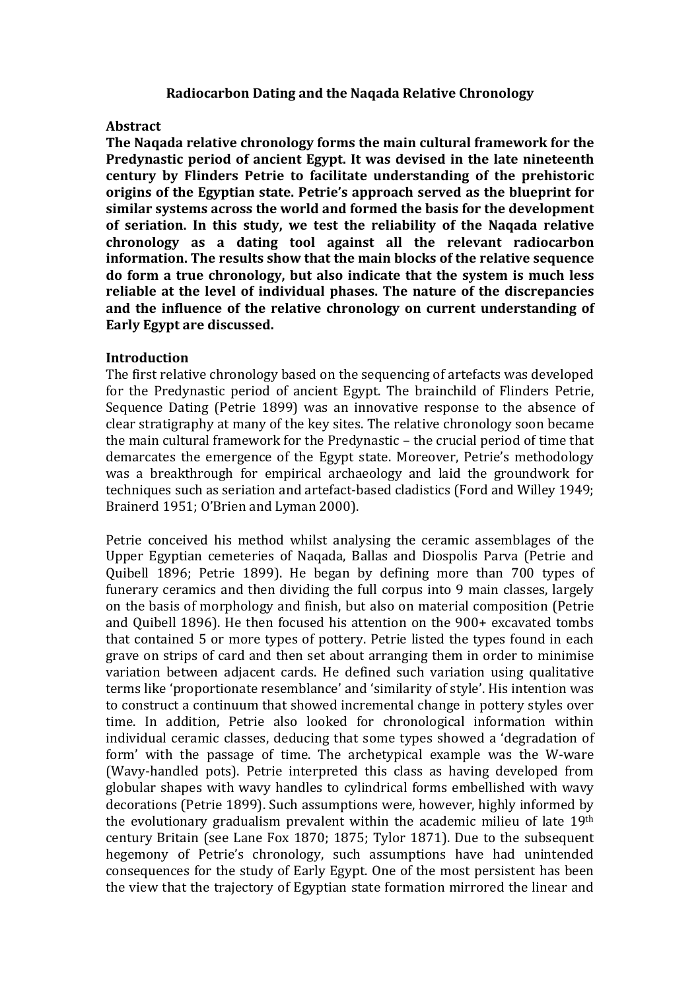#### **Radiocarbon Dating and the Naqada Relative Chronology**

### **Abstract**

**The Nagada relative chronology forms the main cultural framework for the Predynastic period of ancient Egypt. It was devised in the late nineteenth century by Flinders Petrie to facilitate understanding of the prehistoric origins of the Egyptian state. Petrie's approach served as the blueprint for** similar systems across the world and formed the basis for the development of seriation. In this study, we test the reliability of the Naqada relative **chronology** as a dating tool against all the relevant radiocarbon **information.** The results show that the main blocks of the relative sequence **do form a true chronology, but also indicate that the system is much less** reliable at the level of individual phases. The nature of the discrepancies and the influence of the relative chronology on current understanding of **Early Egypt are discussed.** 

### **Introduction**

The first relative chronology based on the sequencing of artefacts was developed for the Predynastic period of ancient Egypt. The brainchild of Flinders Petrie, Sequence Dating (Petrie 1899) was an innovative response to the absence of clear stratigraphy at many of the key sites. The relative chronology soon became the main cultural framework for the Predynastic – the crucial period of time that demarcates the emergence of the Egypt state. Moreover, Petrie's methodology was a breakthrough for empirical archaeology and laid the groundwork for techniques such as seriation and artefact-based cladistics (Ford and Willey 1949; Brainerd 1951; O'Brien and Lyman 2000).

Petrie conceived his method whilst analysing the ceramic assemblages of the Upper Egyptian cemeteries of Naqada, Ballas and Diospolis Parva (Petrie and Quibell 1896; Petrie 1899). He began by defining more than 700 types of funerary ceramics and then dividing the full corpus into 9 main classes, largely on the basis of morphology and finish, but also on material composition (Petrie and Quibell 1896). He then focused his attention on the 900+ excavated tombs that contained 5 or more types of pottery. Petrie listed the types found in each grave on strips of card and then set about arranging them in order to minimise variation between adjacent cards. He defined such variation using qualitative terms like 'proportionate resemblance' and 'similarity of style'. His intention was to construct a continuum that showed incremental change in pottery styles over time. In addition, Petrie also looked for chronological information within individual ceramic classes, deducing that some types showed a 'degradation of form' with the passage of time. The archetypical example was the W-ware (Wavy-handled pots). Petrie interpreted this class as having developed from globular shapes with wavy handles to cylindrical forms embellished with wavy decorations (Petrie 1899). Such assumptions were, however, highly informed by the evolutionary gradualism prevalent within the academic milieu of late  $19<sup>th</sup>$ century Britain (see Lane Fox 1870; 1875; Tylor 1871). Due to the subsequent hegemony of Petrie's chronology, such assumptions have had unintended consequences for the study of Early Egypt. One of the most persistent has been the view that the trajectory of Egyptian state formation mirrored the linear and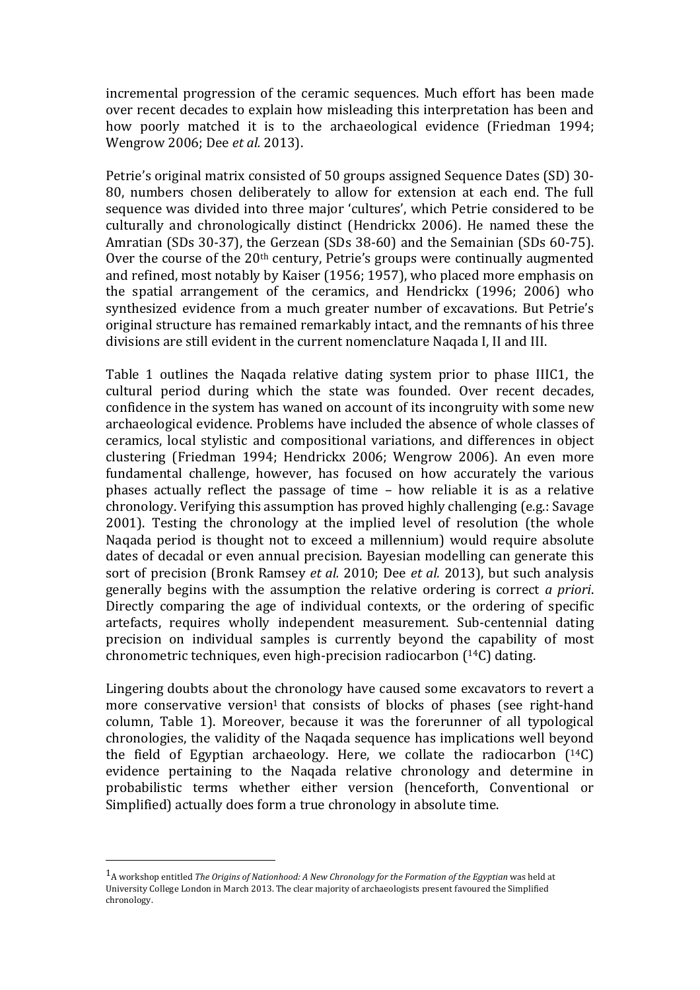incremental progression of the ceramic sequences. Much effort has been made over recent decades to explain how misleading this interpretation has been and how poorly matched it is to the archaeological evidence (Friedman 1994; Wengrow 2006; Dee *et al.* 2013).

Petrie's original matrix consisted of 50 groups assigned Sequence Dates (SD) 30-80, numbers chosen deliberately to allow for extension at each end. The full sequence was divided into three major 'cultures', which Petrie considered to be culturally and chronologically distinct (Hendrickx 2006). He named these the Amratian (SDs 30-37), the Gerzean (SDs 38-60) and the Semainian (SDs 60-75). Over the course of the  $20<sup>th</sup>$  century, Petrie's groups were continually augmented and refined, most notably by Kaiser (1956; 1957), who placed more emphasis on the spatial arrangement of the ceramics, and Hendrickx  $(1996; 2006)$  who synthesized evidence from a much greater number of excavations. But Petrie's original structure has remained remarkably intact, and the remnants of his three divisions are still evident in the current nomenclature Naqada I, II and III.

Table 1 outlines the Nagada relative dating system prior to phase IIIC1, the cultural period during which the state was founded. Over recent decades, confidence in the system has waned on account of its incongruity with some new archaeological evidence. Problems have included the absence of whole classes of ceramics, local stylistic and compositional variations, and differences in object clustering (Friedman 1994; Hendrickx 2006; Wengrow 2006). An even more fundamental challenge, however, has focused on how accurately the various phases actually reflect the passage of time  $-$  how reliable it is as a relative chronology. Verifying this assumption has proved highly challenging (e.g.: Savage  $2001$ ). Testing the chronology at the implied level of resolution (the whole Naqada period is thought not to exceed a millennium) would require absolute dates of decadal or even annual precision. Bayesian modelling can generate this sort of precision (Bronk Ramsey *et al.* 2010; Dee *et al.* 2013), but such analysis generally begins with the assumption the relative ordering is correct *a priori*. Directly comparing the age of individual contexts, or the ordering of specific artefacts, requires wholly independent measurement. Sub-centennial dating precision on individual samples is currently beyond the capability of most chronometric techniques, even high-precision radiocarbon  $(14C)$  dating.

Lingering doubts about the chronology have caused some excavators to revert a more conservative version<sup>1</sup> that consists of blocks of phases (see right-hand column, Table 1). Moreover, because it was the forerunner of all typological chronologies, the validity of the Naqada sequence has implications well beyond the field of Egyptian archaeology. Here, we collate the radiocarbon  $(14)$ C) evidence pertaining to the Naqada relative chronology and determine in probabilistic terms whether either version (henceforth, Conventional or Simplified) actually does form a true chronology in absolute time.

 

 $1_A$  workshop entitled *The Origins of Nationhood:* A New Chronology for the Formation of the Egyptian was held at University College London in March 2013. The clear majority of archaeologists present favoured the Simplified chronology.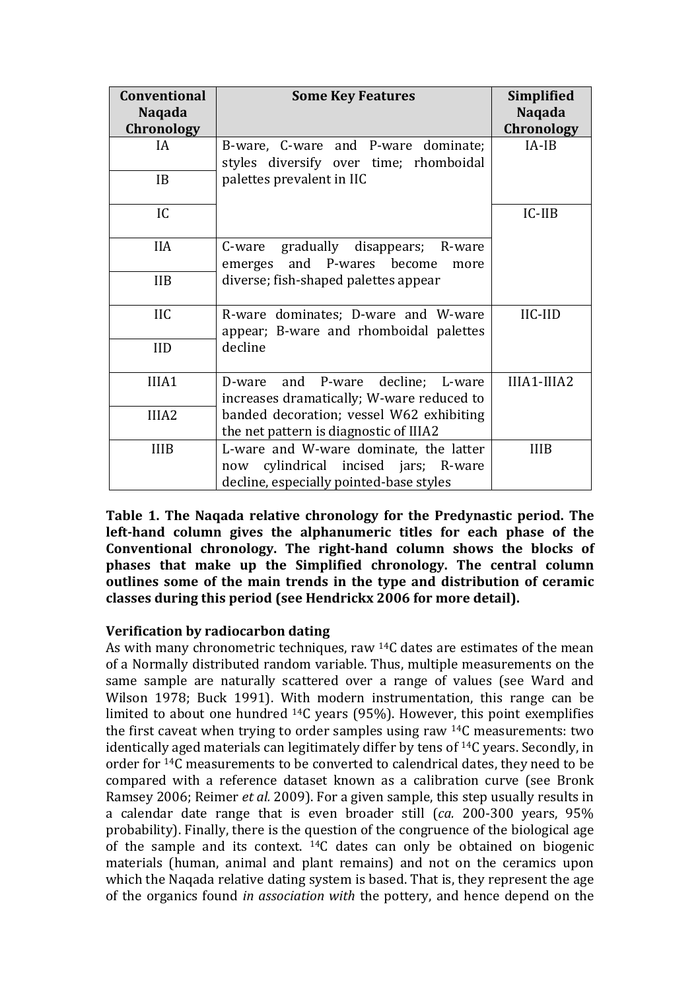| <b>Conventional</b> | <b>Some Key Features</b>                                                                                                     | <b>Simplified</b> |
|---------------------|------------------------------------------------------------------------------------------------------------------------------|-------------------|
| <b>Naqada</b>       |                                                                                                                              | <b>Naqada</b>     |
| Chronology          |                                                                                                                              | Chronology        |
| IA.                 | B-ware, C-ware and P-ware dominate;<br>styles diversify over time; rhomboidal                                                | $IA-IB$           |
| IB                  | palettes prevalent in IIC                                                                                                    |                   |
| IC                  |                                                                                                                              | $IC-IIB$          |
| <b>IIA</b>          | gradually disappears; R-ware<br>C-ware<br>emerges and P-wares become<br>more                                                 |                   |
| <b>IIB</b>          | diverse; fish-shaped palettes appear                                                                                         |                   |
| <b>IIC</b>          | R-ware dominates; D-ware and W-ware<br>appear; B-ware and rhomboidal palettes                                                | IIC-IID           |
| <b>IID</b>          | decline                                                                                                                      |                   |
| IIIA1               | and P-ware decline; L-ware<br>D-ware<br>increases dramatically; W-ware reduced to                                            | IIIA1-IIIA2       |
| IIIA <sub>2</sub>   | banded decoration; vessel W62 exhibiting<br>the net pattern is diagnostic of IIIA2                                           |                   |
| <b>IIIB</b>         | L-ware and W-ware dominate, the latter<br>cylindrical incised jars; R-ware<br>now<br>decline, especially pointed-base styles | <b>IIIB</b>       |

**Table 1. The Nagada relative chronology for the Predynastic period. The left-hand column gives the alphanumeric titles for each phase of the Conventional chronology.** The right-hand column shows the blocks of phases that make up the Simplified chronology. The central column **outlines** some of the main trends in the type and distribution of ceramic classes during this period (see Hendrickx 2006 for more detail).

# **Verification by radiocarbon dating**

As with many chronometric techniques, raw  $14C$  dates are estimates of the mean of a Normally distributed random variable. Thus, multiple measurements on the same sample are naturally scattered over a range of values (see Ward and Wilson 1978; Buck 1991). With modern instrumentation, this range can be limited to about one hundred  $^{14}C$  years (95%). However, this point exemplifies the first caveat when trying to order samples using raw  $14C$  measurements: two identically aged materials can legitimately differ by tens of <sup>14</sup>C years. Secondly, in order for <sup>14</sup>C measurements to be converted to calendrical dates, they need to be compared with a reference dataset known as a calibration curve (see Bronk Ramsey 2006; Reimer *et al.* 2009). For a given sample, this step usually results in a calendar date range that is even broader still (*ca.* 200-300 years, 95% probability). Finally, there is the question of the congruence of the biological age of the sample and its context.  $^{14}C$  dates can only be obtained on biogenic materials (human, animal and plant remains) and not on the ceramics upon which the Naqada relative dating system is based. That is, they represent the age of the organics found *in association* with the pottery, and hence depend on the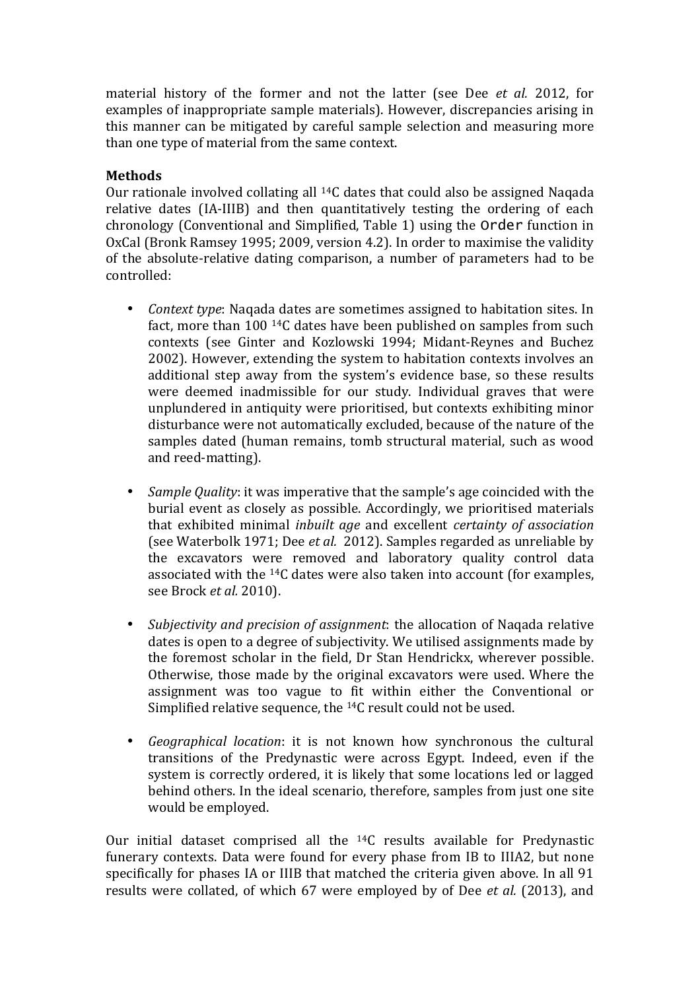material history of the former and not the latter (see Dee *et al.* 2012, for examples of inappropriate sample materials). However, discrepancies arising in this manner can be mitigated by careful sample selection and measuring more than one type of material from the same context.

# **Methods**

Our rationale involved collating all  $^{14}C$  dates that could also be assigned Naqada relative dates (IA-IIIB) and then quantitatively testing the ordering of each chronology (Conventional and Simplified, Table 1) using the Order function in OxCal (Bronk Ramsey 1995; 2009, version 4.2). In order to maximise the validity of the absolute-relative dating comparison, a number of parameters had to be controlled:

- *Context type*: Nagada dates are sometimes assigned to habitation sites. In fact, more than  $100^{14}$ C dates have been published on samples from such contexts (see Ginter and Kozlowski 1994; Midant-Reynes and Buchez 2002). However, extending the system to habitation contexts involves an additional step away from the system's evidence base, so these results were deemed inadmissible for our study. Individual graves that were unplundered in antiquity were prioritised, but contexts exhibiting minor disturbance were not automatically excluded, because of the nature of the samples dated (human remains, tomb structural material, such as wood and reed-matting).
- *Sample Quality*: it was imperative that the sample's age coincided with the burial event as closely as possible. Accordingly, we prioritised materials that exhibited minimal *inbuilt age* and excellent *certainty of association* (see Waterbolk 1971; Dee *et al.* 2012). Samples regarded as unreliable by the excavators were removed and laboratory quality control data associated with the  $^{14}C$  dates were also taken into account (for examples, see Brock *et al.* 2010).
- *Subjectivity and precision of assignment*: the allocation of Nagada relative dates is open to a degree of subjectivity. We utilised assignments made by the foremost scholar in the field, Dr Stan Hendrickx, wherever possible. Otherwise, those made by the original excavators were used. Where the assignment was too vague to fit within either the Conventional or Simplified relative sequence, the  $14C$  result could not be used.
- *Geographical location*: it is not known how synchronous the cultural transitions of the Predynastic were across Egypt. Indeed, even if the system is correctly ordered, it is likely that some locations led or lagged behind others. In the ideal scenario, therefore, samples from just one site would be employed.

Our initial dataset comprised all the  $14C$  results available for Predynastic funerary contexts. Data were found for every phase from IB to IIIA2, but none specifically for phases IA or IIIB that matched the criteria given above. In all 91 results were collated, of which 67 were employed by of Dee et al. (2013), and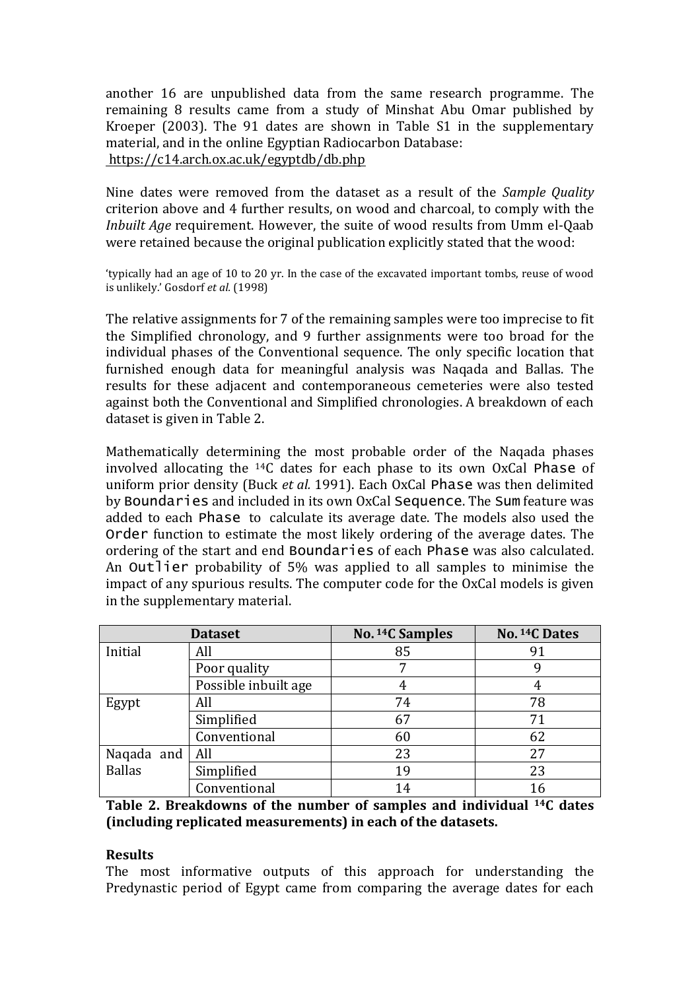another 16 are unpublished data from the same research programme. The remaining 8 results came from a study of Minshat Abu Omar published by Kroeper  $(2003)$ . The 91 dates are shown in Table S1 in the supplementary material, and in the online Egyptian Radiocarbon Database: https://c14.arch.ox.ac.uk/egyptdb/db.php

Nine dates were removed from the dataset as a result of the *Sample Quality* criterion above and 4 further results, on wood and charcoal, to comply with the *Inbuilt Age* requirement. However, the suite of wood results from Umm el-Qaab were retained because the original publication explicitly stated that the wood:

'typically had an age of 10 to 20 yr. In the case of the excavated important tombs, reuse of wood is unlikely.' Gosdorf et al. (1998)

The relative assignments for 7 of the remaining samples were too imprecise to fit the Simplified chronology, and 9 further assignments were too broad for the individual phases of the Conventional sequence. The only specific location that furnished enough data for meaningful analysis was Naqada and Ballas. The results for these adjacent and contemporaneous cemeteries were also tested against both the Conventional and Simplified chronologies. A breakdown of each dataset is given in Table 2.

Mathematically determining the most probable order of the Naqada phases involved allocating the  $14C$  dates for each phase to its own OxCal Phase of uniform prior density (Buck *et al.* 1991). Each OxCal Phase was then delimited by Boundaries and included in its own OxCal Sequence. The Sum feature was added to each Phase to calculate its average date. The models also used the Order function to estimate the most likely ordering of the average dates. The ordering of the start and end Boundaries of each Phase was also calculated. An Outlier probability of  $5\%$  was applied to all samples to minimise the impact of any spurious results. The computer code for the OxCal models is given in the supplementary material.

|               | <b>Dataset</b>       | No. 14C Samples | No. 14C Dates |  |  |
|---------------|----------------------|-----------------|---------------|--|--|
| Initial       | All                  | 85              | 91            |  |  |
|               | Poor quality         |                 |               |  |  |
|               | Possible inbuilt age |                 |               |  |  |
| Egypt         | All                  | 74              | 78            |  |  |
|               | Simplified           | 67              | 71            |  |  |
|               | Conventional         | 60              | 62            |  |  |
| Naqada and    | All                  | 23              | 27            |  |  |
| <b>Ballas</b> | Simplified           | 19              | 23            |  |  |
|               | Conventional         | 14              |               |  |  |

**Table 2. Breakdowns of the number of samples and individual <sup>14</sup>C dates (including replicated measurements) in each of the datasets.** 

#### **Results**

The most informative outputs of this approach for understanding the Predynastic period of Egypt came from comparing the average dates for each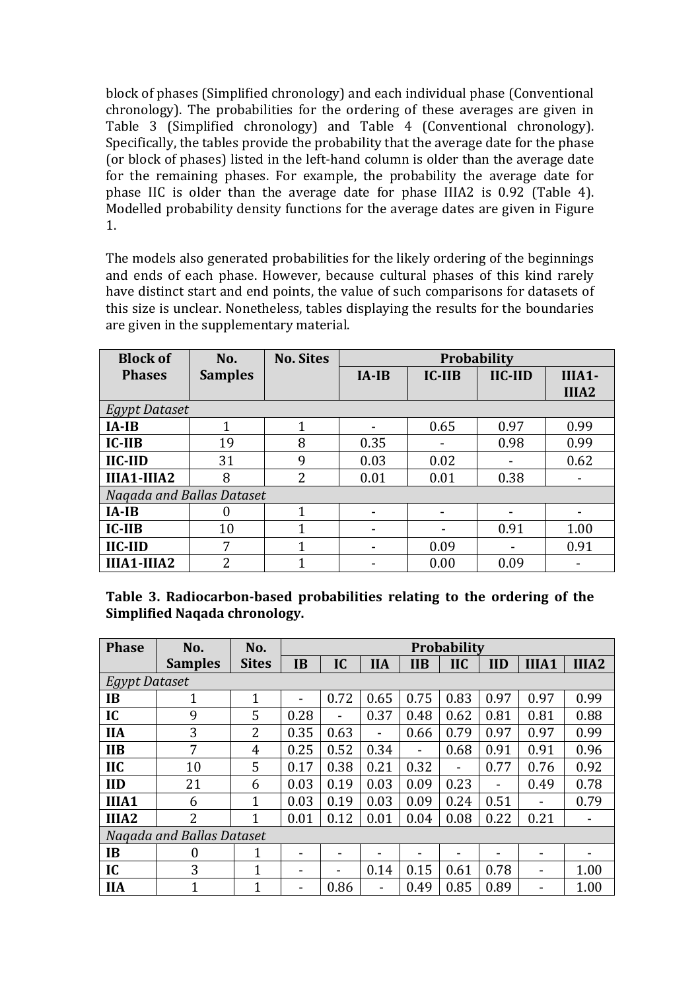block of phases (Simplified chronology) and each individual phase (Conventional chronology). The probabilities for the ordering of these averages are given in Table 3 (Simplified chronology) and Table 4 (Conventional chronology). Specifically, the tables provide the probability that the average date for the phase (or block of phases) listed in the left-hand column is older than the average date for the remaining phases. For example, the probability the average date for phase IIC is older than the average date for phase IIIA2 is 0.92 (Table 4). Modelled probability density functions for the average dates are given in Figure 1.

The models also generated probabilities for the likely ordering of the beginnings and ends of each phase. However, because cultural phases of this kind rarely have distinct start and end points, the value of such comparisons for datasets of this size is unclear. Nonetheless, tables displaying the results for the boundaries are given in the supplementary material.

| <b>Block of</b>           | No.            | <b>No. Sites</b> | <b>Probability</b> |      |                                               |                   |  |  |  |
|---------------------------|----------------|------------------|--------------------|------|-----------------------------------------------|-------------------|--|--|--|
| <b>Phases</b>             | <b>Samples</b> |                  | IC-IIB<br>$IA-IB$  |      | $\mathbf{H}$ <b>C-<math>\mathbf{H}</math></b> | $IIIA1-$          |  |  |  |
|                           |                |                  |                    |      |                                               | IIIA <sub>2</sub> |  |  |  |
| <b>Egypt Dataset</b>      |                |                  |                    |      |                                               |                   |  |  |  |
| $IA-IB$                   | 1              | 1                |                    | 0.65 | 0.97                                          | 0.99              |  |  |  |
| IC-IIB                    | 19             | 8                | 0.35               |      | 0.98                                          | 0.99              |  |  |  |
| IIC-IID                   | 31             | 9                | 0.03               | 0.02 |                                               | 0.62              |  |  |  |
| IIIA1-IIIA2               | 8              | 2                | 0.01               | 0.01 | 0.38                                          |                   |  |  |  |
| Nagada and Ballas Dataset |                |                  |                    |      |                                               |                   |  |  |  |
| $IA-IB$                   | 0              | 1                |                    |      |                                               |                   |  |  |  |
| IC-IIB                    | 10             | 1                |                    |      | 0.91                                          | 1.00              |  |  |  |
| <b>IIC-IID</b>            | 7              |                  |                    | 0.09 |                                               | 0.91              |  |  |  |
| IIIA1-IIIA2               | 2              |                  |                    | 0.00 | 0.09                                          |                   |  |  |  |

Table 3. Radiocarbon-based probabilities relating to the ordering of the **Simplified Nagada chronology.** 

| <b>Phase</b>              | No.            | No.          | Probability              |      |            |                          |            |            |                          |                   |
|---------------------------|----------------|--------------|--------------------------|------|------------|--------------------------|------------|------------|--------------------------|-------------------|
|                           | <b>Samples</b> | <b>Sites</b> | <b>IB</b>                | IC   | <b>IIA</b> | <b>IIB</b>               | <b>IIC</b> | <b>IID</b> | IIIA1                    | IIIA <sub>2</sub> |
| <b>Egypt Dataset</b>      |                |              |                          |      |            |                          |            |            |                          |                   |
| <b>IB</b>                 | 1              | 1            | $\overline{\phantom{0}}$ | 0.72 | 0.65       | 0.75                     | 0.83       | 0.97       | 0.97                     | 0.99              |
| IC                        | 9              | 5            | 0.28                     |      | 0.37       | 0.48                     | 0.62       | 0.81       | 0.81                     | 0.88              |
| <b>IIA</b>                | 3              | 2            | 0.35                     | 0.63 |            | 0.66                     | 0.79       | 0.97       | 0.97                     | 0.99              |
| <b>IIB</b>                | 7              | 4            | 0.25                     | 0.52 | 0.34       | $\overline{\phantom{0}}$ | 0.68       | 0.91       | 0.91                     | 0.96              |
| <b>IIC</b>                | 10             | 5            | 0.17                     | 0.38 | 0.21       | 0.32                     | ۰          | 0.77       | 0.76                     | 0.92              |
| <b>IID</b>                | 21             | 6            | 0.03                     | 0.19 | 0.03       | 0.09                     | 0.23       | -          | 0.49                     | 0.78              |
| IIIA1                     | 6              | 1            | 0.03                     | 0.19 | 0.03       | 0.09                     | 0.24       | 0.51       | $\overline{\phantom{a}}$ | 0.79              |
| IIIA <sub>2</sub>         | $\overline{2}$ | 1            | 0.01                     | 0.12 | 0.01       | 0.04                     | 0.08       | 0.22       | 0.21                     | -                 |
| Nagada and Ballas Dataset |                |              |                          |      |            |                          |            |            |                          |                   |
| <b>IB</b>                 | 0              | $\mathbf{1}$ | $\overline{\phantom{0}}$ |      |            |                          |            |            |                          |                   |
| IC                        | 3              | 1            | $\overline{\phantom{0}}$ |      | 0.14       | 0.15                     | 0.61       | 0.78       | $\overline{\phantom{0}}$ | 1.00              |
| <b>IIA</b>                | $\mathbf{1}$   | 1            | -                        | 0.86 |            | 0.49                     | 0.85       | 0.89       |                          | 1.00              |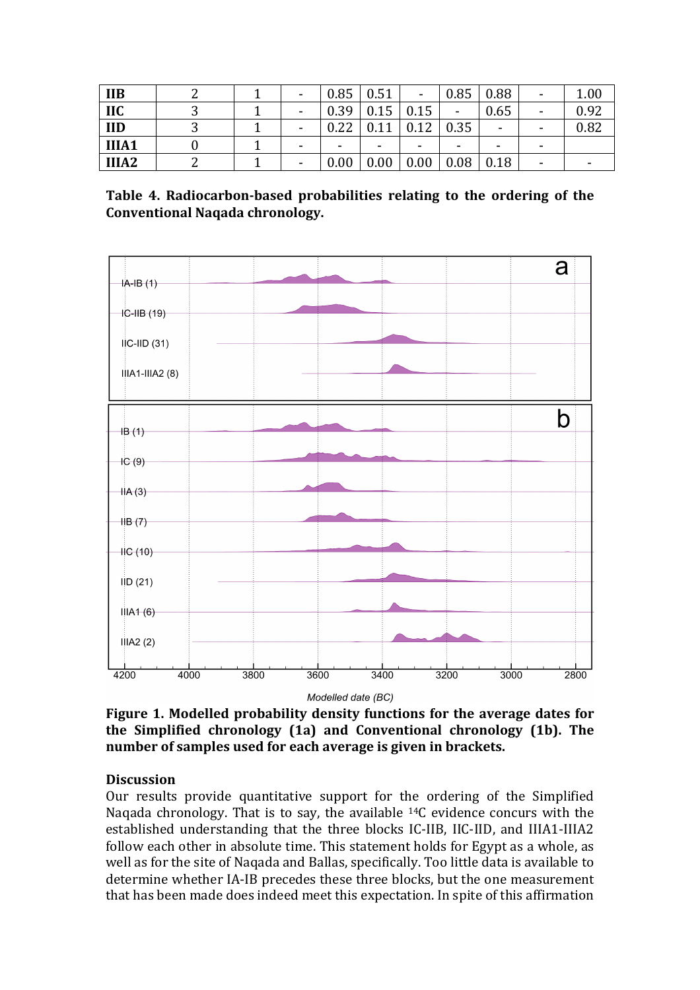| <b>IIB</b>        |  | ٠                        | 0.85 | 0.51 | $\blacksquare$ | 0.85                     | 0.88           | $\overline{\phantom{a}}$ | 1.00 |
|-------------------|--|--------------------------|------|------|----------------|--------------------------|----------------|--------------------------|------|
| <b>IIC</b>        |  | ٠                        | 0.39 | 0.15 | 0.15           | ۰                        | 0.65           | -                        | 0.92 |
| <b>IID</b>        |  | $\overline{\phantom{0}}$ | 0.22 | 0.11 | 0.12           | 0.35                     | $\blacksquare$ |                          | 0.82 |
| IIIA1             |  | $\overline{\phantom{0}}$ | -    |      | -              | $\overline{\phantom{0}}$ | ۰              | -                        |      |
| IIIA <sub>2</sub> |  | $\overline{\phantom{0}}$ | 0.00 | 0.00 | 0.00           | 0.08                     | 0.18           | -                        |      |

Table 4. Radiocarbon-based probabilities relating to the ordering of the **Conventional Naqada chronology.**



Modelled date (BC)

**Figure 1. Modelled probability density functions for the average dates for the Simplified chronology (1a) and Conventional chronology (1b). The** number of samples used for each average is given in brackets.

# **Discussion**

Our results provide quantitative support for the ordering of the Simplified Naqada chronology. That is to say, the available  $^{14}C$  evidence concurs with the established understanding that the three blocks IC-IIB, IIC-IID, and IIIA1-IIIA2 follow each other in absolute time. This statement holds for Egypt as a whole, as well as for the site of Naqada and Ballas, specifically. Too little data is available to determine whether IA-IB precedes these three blocks, but the one measurement that has been made does indeed meet this expectation. In spite of this affirmation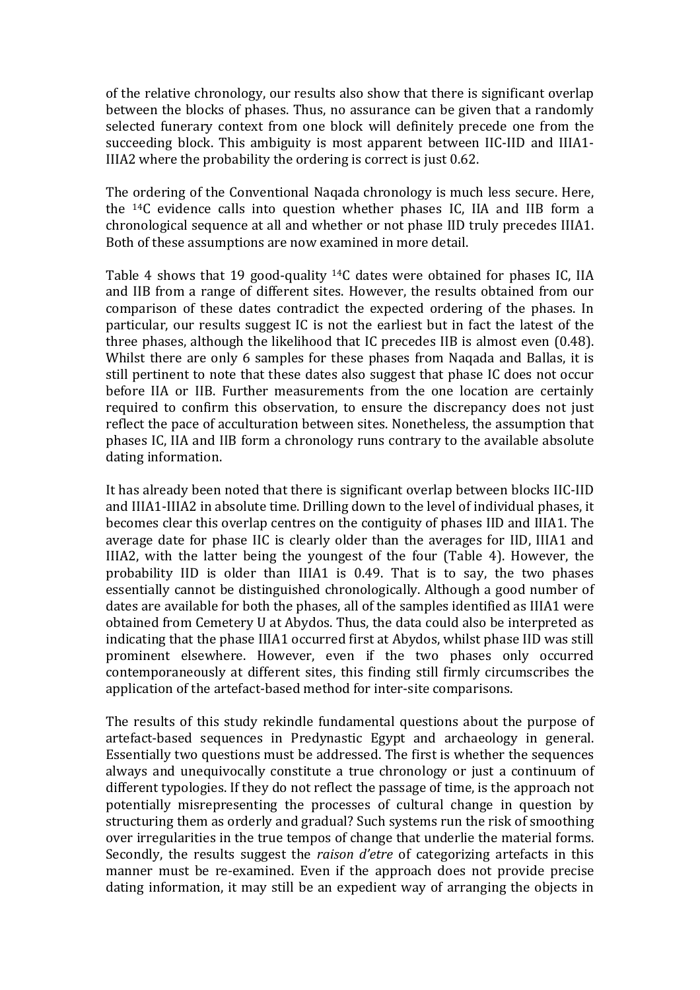of the relative chronology, our results also show that there is significant overlap between the blocks of phases. Thus, no assurance can be given that a randomly selected funerary context from one block will definitely precede one from the succeeding block. This ambiguity is most apparent between IIC-IID and IIIA1-IIIA2 where the probability the ordering is correct is just 0.62.

The ordering of the Conventional Nagada chronology is much less secure. Here, the  $14C$  evidence calls into question whether phases IC, IIA and IIB form a chronological sequence at all and whether or not phase IID truly precedes IIIA1. Both of these assumptions are now examined in more detail.

Table 4 shows that 19 good-quality  $^{14}C$  dates were obtained for phases IC, IIA and IIB from a range of different sites. However, the results obtained from our comparison of these dates contradict the expected ordering of the phases. In particular, our results suggest IC is not the earliest but in fact the latest of the three phases, although the likelihood that IC precedes IIB is almost even  $(0.48)$ . Whilst there are only 6 samples for these phases from Naqada and Ballas, it is still pertinent to note that these dates also suggest that phase IC does not occur before IIA or IIB. Further measurements from the one location are certainly required to confirm this observation, to ensure the discrepancy does not just reflect the pace of acculturation between sites. Nonetheless, the assumption that phases IC, IIA and IIB form a chronology runs contrary to the available absolute dating information.

It has already been noted that there is significant overlap between blocks IIC-IID and IIIA1-IIIA2 in absolute time. Drilling down to the level of individual phases, it becomes clear this overlap centres on the contiguity of phases IID and IIIA1. The average date for phase IIC is clearly older than the averages for IID, IIIA1 and IIIA2, with the latter being the youngest of the four (Table 4). However, the probability IID is older than IIIA1 is 0.49. That is to say, the two phases essentially cannot be distinguished chronologically. Although a good number of dates are available for both the phases, all of the samples identified as IIIA1 were obtained from Cemetery U at Abydos. Thus, the data could also be interpreted as indicating that the phase IIIA1 occurred first at Abydos, whilst phase IID was still prominent elsewhere. However, even if the two phases only occurred contemporaneously at different sites, this finding still firmly circumscribes the application of the artefact-based method for inter-site comparisons.

The results of this study rekindle fundamental questions about the purpose of artefact-based sequences in Predynastic Egypt and archaeology in general. Essentially two questions must be addressed. The first is whether the sequences always and unequivocally constitute a true chronology or just a continuum of different typologies. If they do not reflect the passage of time, is the approach not potentially misrepresenting the processes of cultural change in question by structuring them as orderly and gradual? Such systems run the risk of smoothing over irregularities in the true tempos of change that underlie the material forms. Secondly, the results suggest the *raison d'etre* of categorizing artefacts in this manner must be re-examined. Even if the approach does not provide precise dating information, it may still be an expedient way of arranging the objects in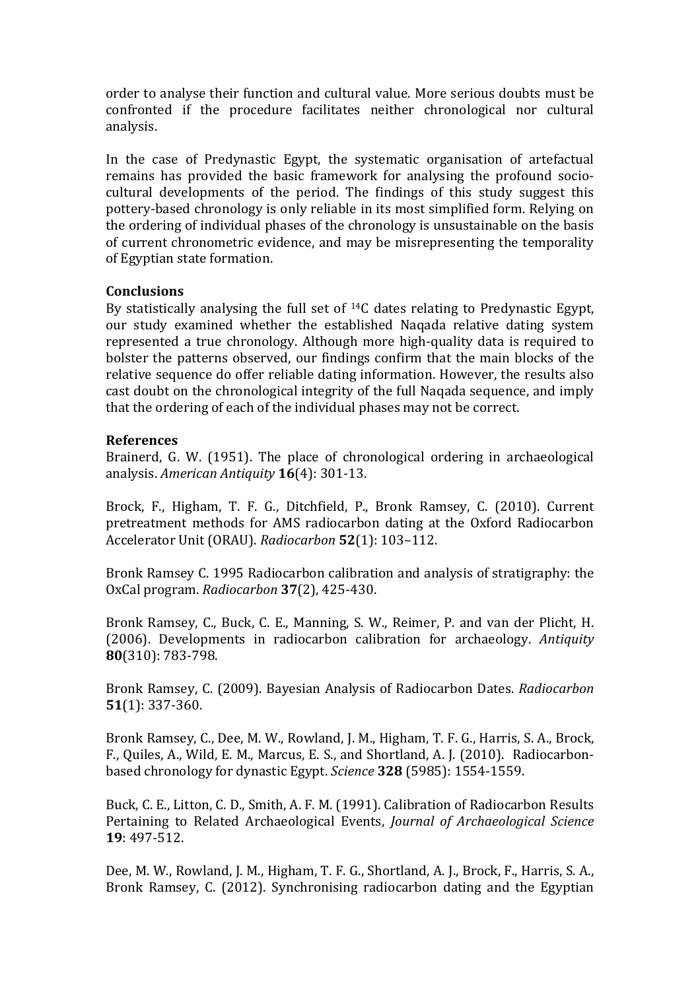order to analyse their function and cultural value. More serious doubts must be confronted if the procedure facilitates neither chronological nor cultural analysis.

In the case of Predynastic Egypt, the systematic organisation of artefactual remains has provided the basic framework for analysing the profound sociocultural developments of the period. The findings of this study suggest this pottery-based chronology is only reliable in its most simplified form. Relying on the ordering of individual phases of the chronology is unsustainable on the basis of current chronometric evidence, and may be misrepresenting the temporality of Egyptian state formation.

### **Conclusions**

By statistically analysing the full set of  $^{14}C$  dates relating to Predynastic Egypt, our study examined whether the established Nagada relative dating system represented a true chronology. Although more high-quality data is required to bolster the patterns observed, our findings confirm that the main blocks of the relative sequence do offer reliable dating information. However, the results also cast doubt on the chronological integrity of the full Naqada sequence, and imply that the ordering of each of the individual phases may not be correct.

#### **References**

Brainerd, G. W. (1951). The place of chronological ordering in archaeological analysis. *American Antiquity* **16**(4): 301-13.

Brock, F., Higham, T. F. G., Ditchfield, P., Bronk Ramsey, C. (2010). Current pretreatment methods for AMS radiocarbon dating at the Oxford Radiocarbon Accelerator Unit (ORAU). *Radiocarbon* **52**(1): 103-112.

Bronk Ramsey C. 1995 Radiocarbon calibration and analysis of stratigraphy: the OxCal program. *Radiocarbon* **37**(2), 425-430.

Bronk Ramsey, C., Buck, C. E., Manning, S. W., Reimer, P. and van der Plicht, H. (2006). Developments in radiocarbon calibration for archaeology. Antiquity **80**(310): 783-798.

Bronk Ramsey, C. (2009). Bayesian Analysis of Radiocarbon Dates. *Radiocarbon* **51**(1): 337-360.

Bronk Ramsey, C., Dee, M. W., Rowland, J. M., Higham, T. F. G., Harris, S. A., Brock, F., Quiles, A., Wild, E. M., Marcus, E. S., and Shortland, A. J. (2010). Radiocarbonbased chronology for dynastic Egypt. *Science* 328 (5985): 1554-1559.

Buck, C. E., Litton, C. D., Smith, A. F. M. (1991). Calibration of Radiocarbon Results Pertaining to Related Archaeological Events, *Journal of Archaeological Science* **19**: 497-512.

Dee, M. W., Rowland, J. M., Higham, T. F. G., Shortland, A. J., Brock, F., Harris, S. A., Bronk Ramsey, C. (2012). Synchronising radiocarbon dating and the Egyptian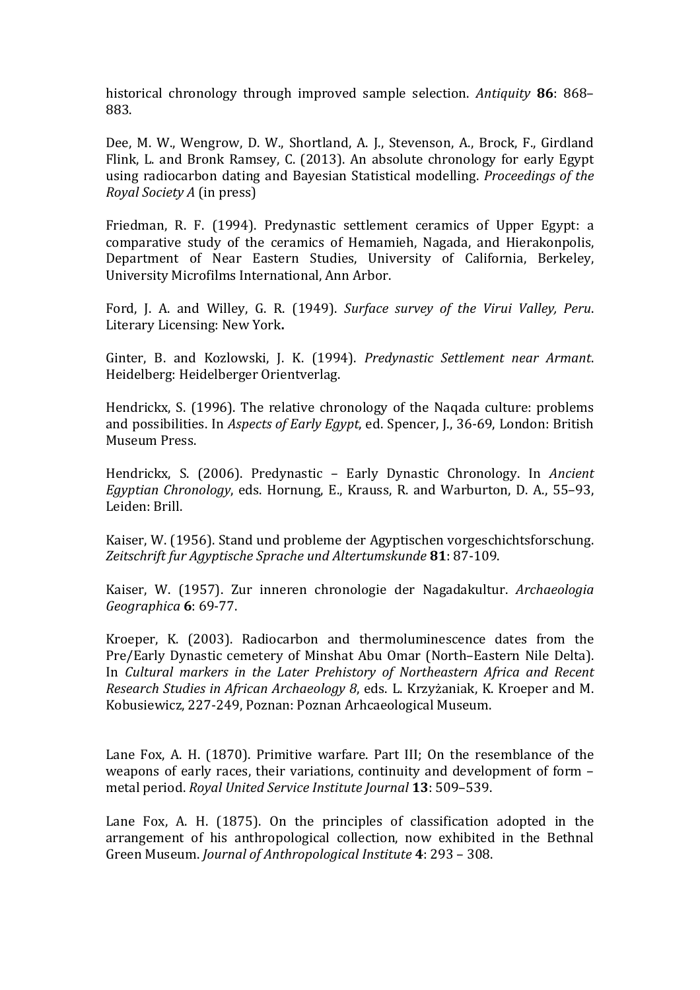historical chronology through improved sample selection. Antiquity 86: 868– 883.

Dee, M. W., Wengrow, D. W., Shortland, A. J., Stevenson, A., Brock, F., Girdland Flink, L. and Bronk Ramsey, C. (2013). An absolute chronology for early Egypt using radiocarbon dating and Bayesian Statistical modelling. *Proceedings of the Royal Society A* (in press)

Friedman, R. F. (1994). Predynastic settlement ceramics of Upper Egypt: a comparative study of the ceramics of Hemamieh, Nagada, and Hierakonpolis, Department of Near Eastern Studies, University of California, Berkeley, University Microfilms International, Ann Arbor.

Ford, J. A. and Willey, G. R. (1949). *Surface survey of the Virui Valley, Peru.* Literary Licensing: New York.

Ginter, B. and Kozlowski, J. K. (1994). *Predynastic Settlement near Armant*. Heidelberg: Heidelberger Orientverlag.

Hendrickx, S. (1996). The relative chronology of the Naqada culture: problems and possibilities. In *Aspects of Early Egypt*, ed. Spencer, J., 36-69, London: British Museum Press.

Hendrickx, S. (2006). Predynastic – Early Dynastic Chronology. In *Ancient Egyptian Chronology*, eds. Hornung, E., Krauss, R. and Warburton, D. A., 55–93, Leiden: Brill.

Kaiser, W. (1956). Stand und probleme der Agyptischen vorgeschichtsforschung. *Zeitschrift fur Agyptische Sprache und Altertumskunde* **81**: 87-109.

Kaiser, W. (1957). Zur inneren chronologie der Nagadakultur. *Archaeologia Geographica* **6**: 69-77. 

Kroeper, K. (2003). Radiocarbon and thermoluminescence dates from the Pre/Early Dynastic cemetery of Minshat Abu Omar (North–Eastern Nile Delta). In *Cultural markers in the Later Prehistory of Northeastern Africa and Recent Research Studies in African Archaeology 8, eds. L. Krzyżaniak, K. Kroeper and M.* Kobusiewicz, 227-249, Poznan: Poznan Arhcaeological Museum.

Lane Fox, A. H.  $(1870)$ . Primitive warfare. Part III: On the resemblance of the weapons of early races, their variations, continuity and development of form  $$ metal period. *Royal United Service Institute Journal* 13: 509-539.

Lane Fox, A. H.  $(1875)$ . On the principles of classification adopted in the arrangement of his anthropological collection, now exhibited in the Bethnal Green Museum. *Journal of Anthropological Institute* 4: 293 - 308.